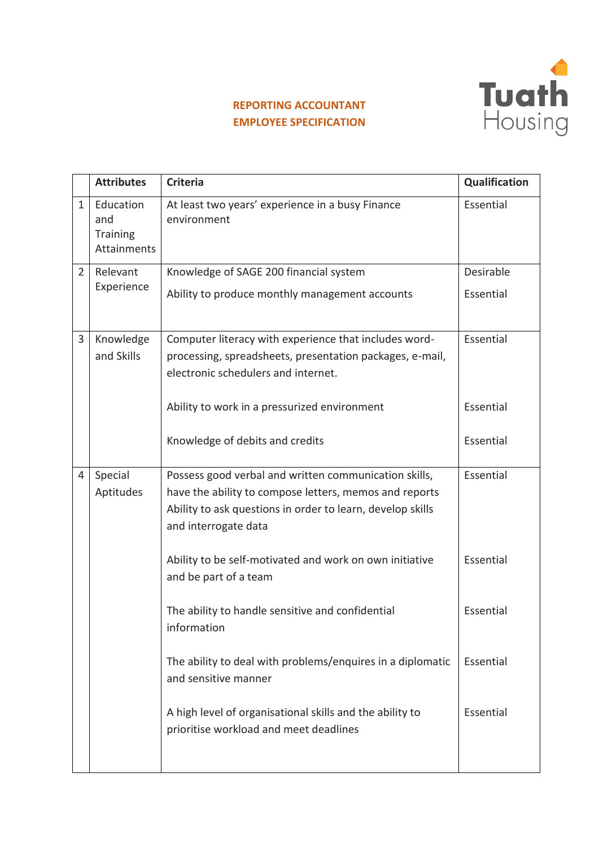

## **REPORTING ACCOUNTANT EMPLOYEE SPECIFICATION**

|                | <b>Attributes</b>  | <b>Criteria</b>                                                 | Qualification |
|----------------|--------------------|-----------------------------------------------------------------|---------------|
|                |                    |                                                                 |               |
| 1              | Education<br>and   | At least two years' experience in a busy Finance<br>environment | Essential     |
|                | <b>Training</b>    |                                                                 |               |
|                | <b>Attainments</b> |                                                                 |               |
| $\overline{2}$ | Relevant           | Knowledge of SAGE 200 financial system                          | Desirable     |
|                | Experience         |                                                                 |               |
|                |                    | Ability to produce monthly management accounts                  | Essential     |
|                |                    |                                                                 |               |
| 3              | Knowledge          | Computer literacy with experience that includes word-           | Essential     |
|                | and Skills         | processing, spreadsheets, presentation packages, e-mail,        |               |
|                |                    | electronic schedulers and internet.                             |               |
|                |                    |                                                                 |               |
|                |                    | Ability to work in a pressurized environment                    | Essential     |
|                |                    |                                                                 |               |
|                |                    | Knowledge of debits and credits                                 | Essential     |
|                |                    |                                                                 |               |
| 4              | Special            | Possess good verbal and written communication skills,           | Essential     |
|                | Aptitudes          | have the ability to compose letters, memos and reports          |               |
|                |                    | Ability to ask questions in order to learn, develop skills      |               |
|                |                    | and interrogate data                                            |               |
|                |                    |                                                                 |               |
|                |                    | Ability to be self-motivated and work on own initiative         | Essential     |
|                |                    | and be part of a team                                           |               |
|                |                    |                                                                 |               |
|                |                    | The ability to handle sensitive and confidential<br>information | Essential     |
|                |                    |                                                                 |               |
|                |                    | The ability to deal with problems/enquires in a diplomatic      | Essential     |
|                |                    | and sensitive manner                                            |               |
|                |                    |                                                                 |               |
|                |                    | A high level of organisational skills and the ability to        | Essential     |
|                |                    | prioritise workload and meet deadlines                          |               |
|                |                    |                                                                 |               |
|                |                    |                                                                 |               |